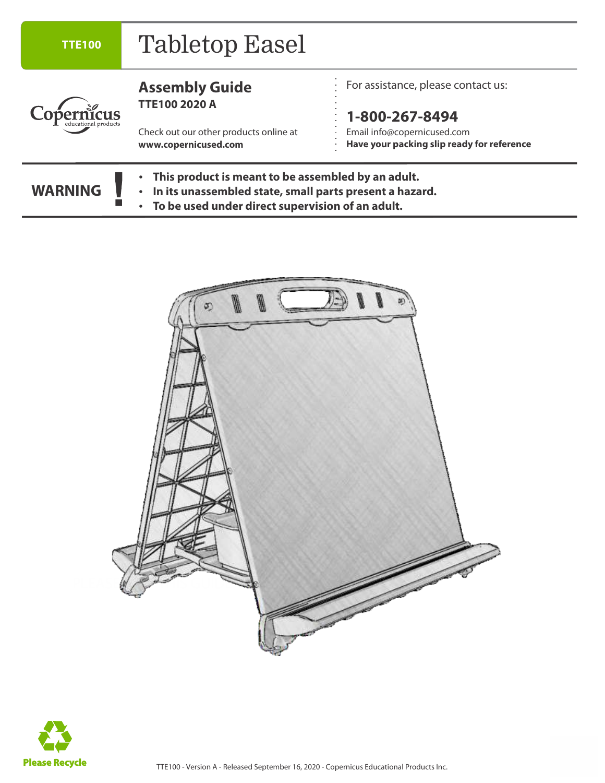| <b>TTE100</b>        | <b>Tabletop Easel</b>                                                                                                                                             |                                                                                             |  |
|----------------------|-------------------------------------------------------------------------------------------------------------------------------------------------------------------|---------------------------------------------------------------------------------------------|--|
|                      | <b>Assembly Guide</b><br><b>TTE100 2020 A</b>                                                                                                                     | For assistance, please contact us:                                                          |  |
| educational products | Check out our other products online at<br>www.copernicused.com                                                                                                    | 1-800-267-8494<br>Email info@copernicused.com<br>Have your packing slip ready for reference |  |
| <b>WARNING</b>       | This product is meant to be assembled by an adult.<br>In its unassembled state, small parts present a hazard.<br>To be used under direct supervision of an adult. |                                                                                             |  |



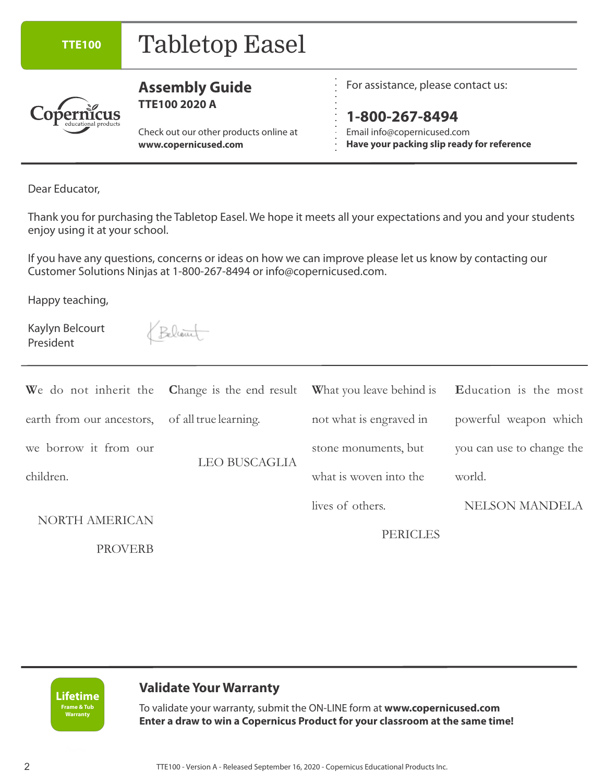| <b>TTE100</b>                                                                                                                       | <b>Tabletop Easel</b>                                                                                                                                                                                                                                                                                        |                                                                                                                                              |                                                                                                                |  |  |
|-------------------------------------------------------------------------------------------------------------------------------------|--------------------------------------------------------------------------------------------------------------------------------------------------------------------------------------------------------------------------------------------------------------------------------------------------------------|----------------------------------------------------------------------------------------------------------------------------------------------|----------------------------------------------------------------------------------------------------------------|--|--|
|                                                                                                                                     | <b>Assembly Guide</b><br><b>TTE100 2020 A</b><br>Check out our other products online at<br>www.copernicused.com                                                                                                                                                                                              | For assistance, please contact us:<br>1-800-267-8494<br>Email info@copernicused.com<br>Have your packing slip ready for reference            |                                                                                                                |  |  |
| Dear Educator,<br>enjoy using it at your school.<br>Happy teaching,<br>Kaylyn Belcourt<br>President                                 | Thank you for purchasing the Tabletop Easel. We hope it meets all your expectations and you and your students<br>If you have any questions, concerns or ideas on how we can improve please let us know by contacting our<br>Customer Solutions Ninjas at 1-800-267-8494 or info@copernicused.com.<br>Believe |                                                                                                                                              |                                                                                                                |  |  |
| We do not inherit the<br>earth from our ancestors,<br>we borrow it from our<br>children.<br><b>NORTH AMERICAN</b><br><b>PROVERB</b> | Change is the end result<br>of all true learning.<br><b>LEO BUSCAGLIA</b>                                                                                                                                                                                                                                    | What you leave behind is<br>not what is engraved in<br>stone monuments, but<br>what is woven into the<br>lives of others.<br><b>PERICLES</b> | Education is the most<br>powerful weapon which<br>you can use to change the<br>world.<br><b>NELSON MANDELA</b> |  |  |

**Lifetime Frame & Tub Warranty**

#### **Validate Your Warranty**

To validate your warranty, submit the ON-LINE form at **www.copernicused.com Enter a draw to win a Copernicus Product for your classroom at the same time!**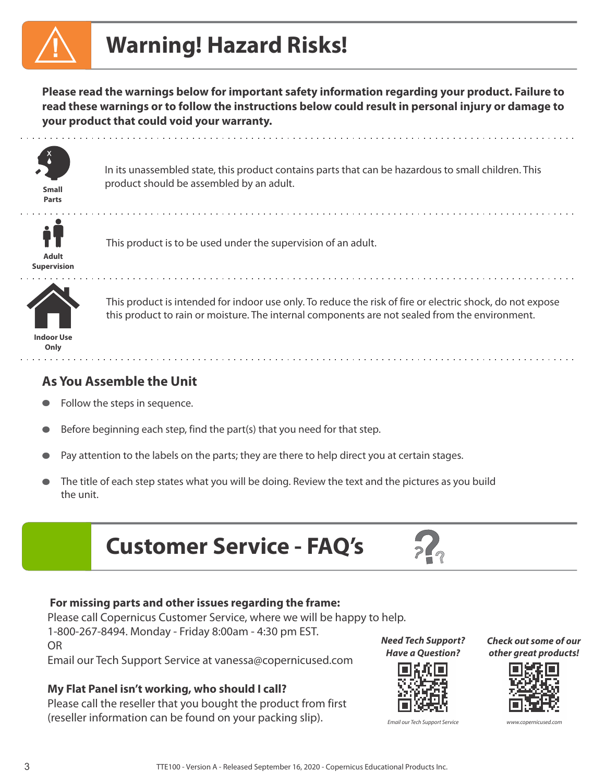# **Warning! Hazard Risks!**

**Please read the warnings below for important safety information regarding your product. Failure to read these warnings or to follow the instructions below could result in personal injury or damage to your product that could void your warranty.** 



**Parts**

In its unassembled state, this product contains parts that can be hazardous to small children. This product should be assembled by an adult. **Small**



This product is to be used under the supervision of an adult.



**Indoor Use** 

**Only**

This product is intended for indoor use only. To reduce the risk of fire or electric shock, do not expose this product to rain or moisture. The internal components are not sealed from the environment.

#### **As You Assemble the Unit**

- Follow the steps in sequence.
- Before beginning each step, find the part(s) that you need for that step.  $\bullet$
- Pay attention to the labels on the parts; they are there to help direct you at certain stages.
- The title of each step states what you will be doing. Review the text and the pictures as you build  $\bullet$ the unit.
	- **Customer Service FAQ's**



#### **For missing parts and other issues regarding the frame:**

Please call Copernicus Customer Service, where we will be happy to help. 1-800-267-8494. Monday - Friday 8:00am - 4:30 pm EST.

OR

Email our Tech Support Service at vanessa@copernicused.com

#### **My Flat Panel isn't working, who should I call?**

Please call the reseller that you bought the product from first (reseller information can be found on your packing slip).

**Need Tech Support? Have a Question?**



Email our Tech Support Service

**Check out some of our other great products!**

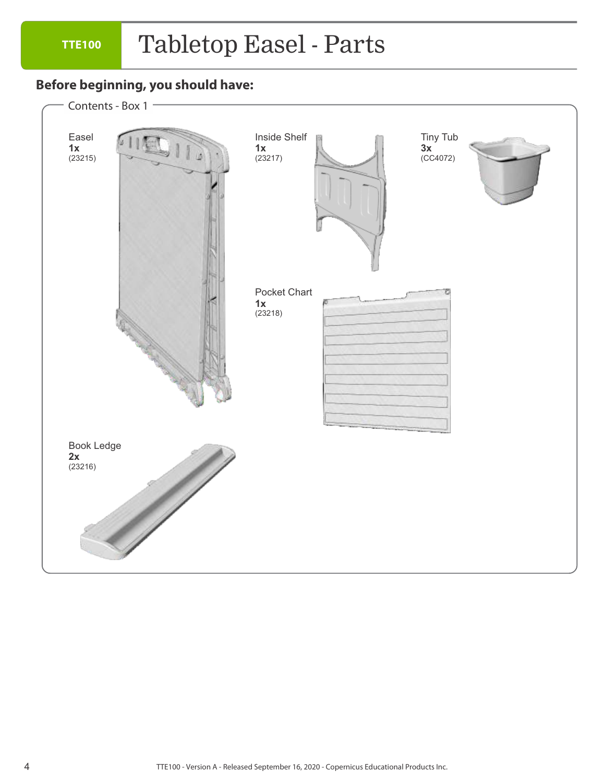## Tabletop Easel - Parts

#### **Before beginning, you should have:**

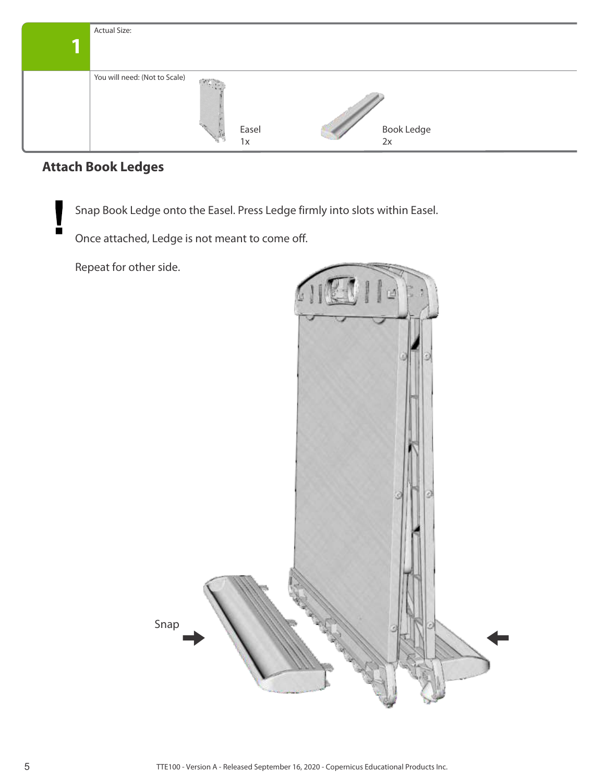| <b>Actual Size:</b>           |                            |       |            |
|-------------------------------|----------------------------|-------|------------|
|                               |                            |       |            |
|                               |                            |       |            |
| You will need: (Not to Scale) | $\mathcal{N}(\mathcal{G})$ |       |            |
|                               |                            |       |            |
|                               |                            |       |            |
|                               | Ŵ                          | Easel | Book Ledge |
|                               |                            | 1x    | 2x         |

## **Attach Book Ledges**

 $\blacksquare$ 

Snap Book Ledge onto the Easel. Press Ledge firmly into slots within Easel.

Once attached, Ledge is not meant to come off.

Repeat for other side.

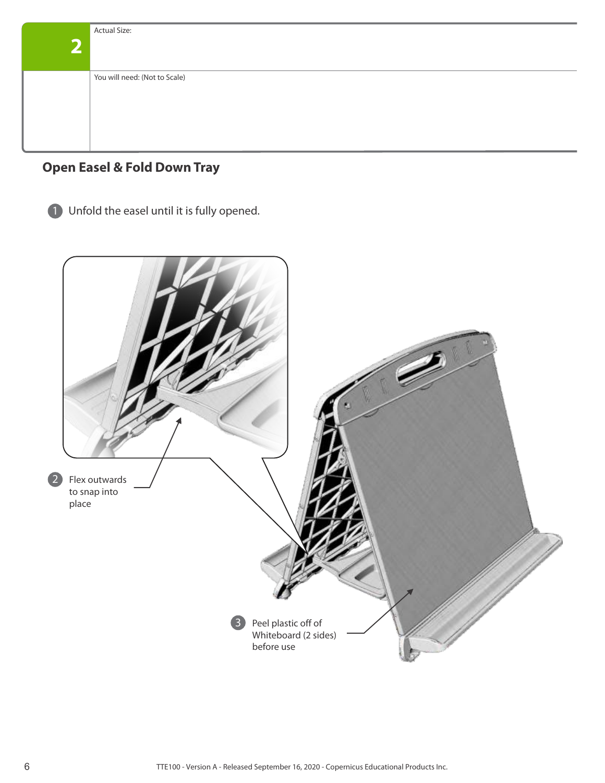| <b>Actual Size:</b>           |
|-------------------------------|
|                               |
|                               |
| You will need: (Not to Scale) |
|                               |
|                               |
|                               |
|                               |

#### **Open Easel & Fold Down Tray**

1 Unfold the easel until it is fully opened.

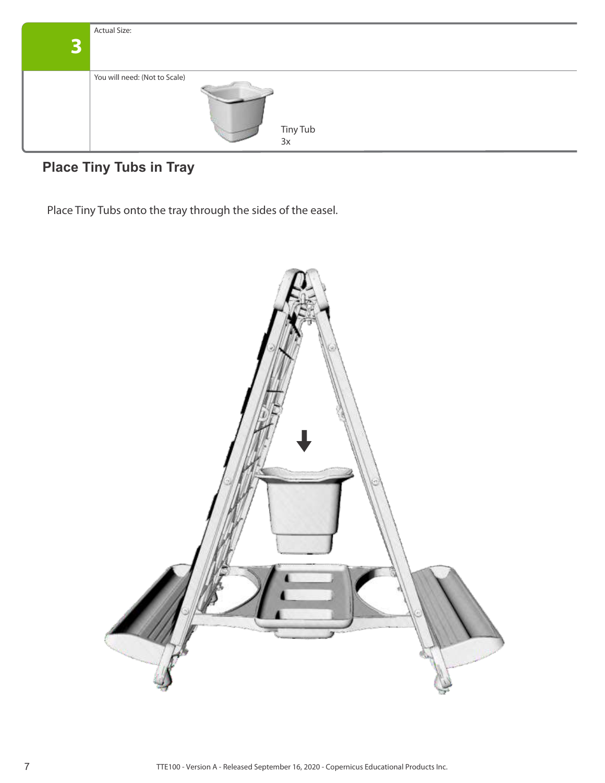

## **Place Tiny Tubs in Tray**

Place Tiny Tubs onto the tray through the sides of the easel.